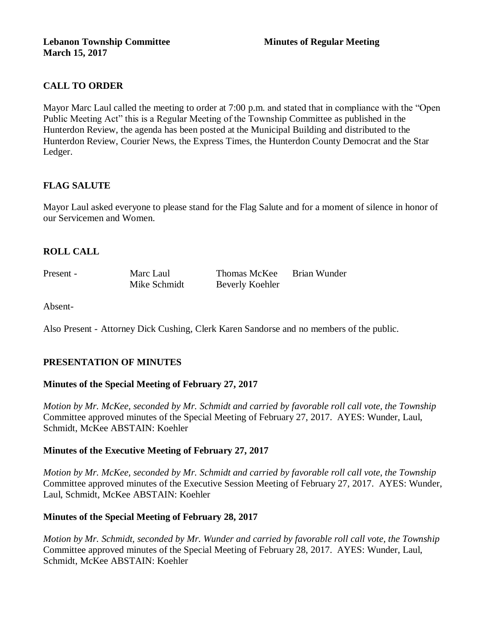# **CALL TO ORDER**

Mayor Marc Laul called the meeting to order at 7:00 p.m. and stated that in compliance with the "Open Public Meeting Act" this is a Regular Meeting of the Township Committee as published in the Hunterdon Review, the agenda has been posted at the Municipal Building and distributed to the Hunterdon Review, Courier News, the Express Times, the Hunterdon County Democrat and the Star Ledger.

# **FLAG SALUTE**

Mayor Laul asked everyone to please stand for the Flag Salute and for a moment of silence in honor of our Servicemen and Women.

## **ROLL CALL**

| Present - | Marc Laul    | Thomas McKee    | Brian Wunder |
|-----------|--------------|-----------------|--------------|
|           | Mike Schmidt | Beverly Koehler |              |

Absent-

Also Present - Attorney Dick Cushing, Clerk Karen Sandorse and no members of the public.

### **PRESENTATION OF MINUTES**

### **Minutes of the Special Meeting of February 27, 2017**

*Motion by Mr. McKee, seconded by Mr. Schmidt and carried by favorable roll call vote, the Township* Committee approved minutes of the Special Meeting of February 27, 2017. AYES: Wunder, Laul, Schmidt, McKee ABSTAIN: Koehler

### **Minutes of the Executive Meeting of February 27, 2017**

*Motion by Mr. McKee, seconded by Mr. Schmidt and carried by favorable roll call vote, the Township* Committee approved minutes of the Executive Session Meeting of February 27, 2017. AYES: Wunder, Laul, Schmidt, McKee ABSTAIN: Koehler

### **Minutes of the Special Meeting of February 28, 2017**

*Motion by Mr. Schmidt, seconded by Mr. Wunder and carried by favorable roll call vote, the Township* Committee approved minutes of the Special Meeting of February 28, 2017. AYES: Wunder, Laul, Schmidt, McKee ABSTAIN: Koehler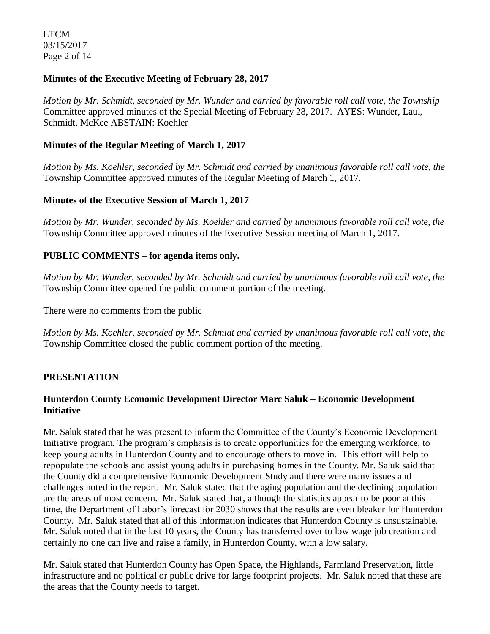LTCM 03/15/2017 Page 2 of 14

## **Minutes of the Executive Meeting of February 28, 2017**

*Motion by Mr. Schmidt, seconded by Mr. Wunder and carried by favorable roll call vote, the Township* Committee approved minutes of the Special Meeting of February 28, 2017. AYES: Wunder, Laul, Schmidt, McKee ABSTAIN: Koehler

## **Minutes of the Regular Meeting of March 1, 2017**

*Motion by Ms. Koehler, seconded by Mr. Schmidt and carried by unanimous favorable roll call vote, the*  Township Committee approved minutes of the Regular Meeting of March 1, 2017.

## **Minutes of the Executive Session of March 1, 2017**

*Motion by Mr. Wunder, seconded by Ms. Koehler and carried by unanimous favorable roll call vote, the*  Township Committee approved minutes of the Executive Session meeting of March 1, 2017.

# **PUBLIC COMMENTS – for agenda items only.**

*Motion by Mr. Wunder, seconded by Mr. Schmidt and carried by unanimous favorable roll call vote, the* Township Committee opened the public comment portion of the meeting.

There were no comments from the public

*Motion by Ms. Koehler, seconded by Mr. Schmidt and carried by unanimous favorable roll call vote, the* Township Committee closed the public comment portion of the meeting.

# **PRESENTATION**

# **Hunterdon County Economic Development Director Marc Saluk – Economic Development Initiative**

Mr. Saluk stated that he was present to inform the Committee of the County's Economic Development Initiative program. The program's emphasis is to create opportunities for the emerging workforce, to keep young adults in Hunterdon County and to encourage others to move in. This effort will help to repopulate the schools and assist young adults in purchasing homes in the County. Mr. Saluk said that the County did a comprehensive Economic Development Study and there were many issues and challenges noted in the report. Mr. Saluk stated that the aging population and the declining population are the areas of most concern. Mr. Saluk stated that, although the statistics appear to be poor at this time, the Department of Labor's forecast for 2030 shows that the results are even bleaker for Hunterdon County. Mr. Saluk stated that all of this information indicates that Hunterdon County is unsustainable. Mr. Saluk noted that in the last 10 years, the County has transferred over to low wage job creation and certainly no one can live and raise a family, in Hunterdon County, with a low salary.

Mr. Saluk stated that Hunterdon County has Open Space, the Highlands, Farmland Preservation, little infrastructure and no political or public drive for large footprint projects. Mr. Saluk noted that these are the areas that the County needs to target.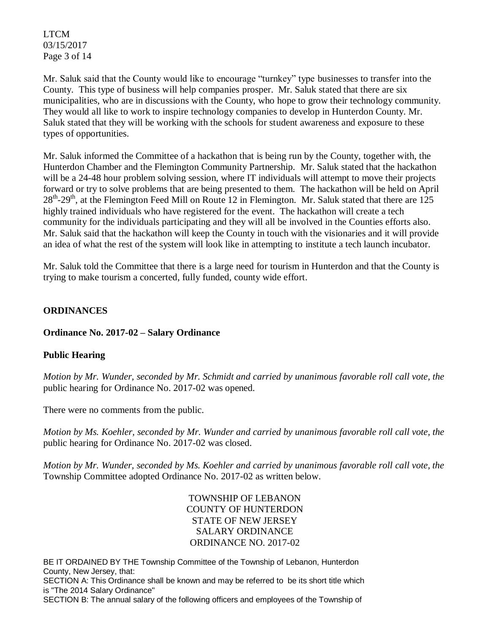LTCM 03/15/2017 Page 3 of 14

Mr. Saluk said that the County would like to encourage "turnkey" type businesses to transfer into the County. This type of business will help companies prosper. Mr. Saluk stated that there are six municipalities, who are in discussions with the County, who hope to grow their technology community. They would all like to work to inspire technology companies to develop in Hunterdon County. Mr. Saluk stated that they will be working with the schools for student awareness and exposure to these types of opportunities.

Mr. Saluk informed the Committee of a hackathon that is being run by the County, together with, the Hunterdon Chamber and the Flemington Community Partnership. Mr. Saluk stated that the hackathon will be a 24-48 hour problem solving session, where IT individuals will attempt to move their projects forward or try to solve problems that are being presented to them. The hackathon will be held on April 28<sup>th</sup>-29<sup>th</sup>, at the Flemington Feed Mill on Route 12 in Flemington. Mr. Saluk stated that there are 125 highly trained individuals who have registered for the event. The hackathon will create a tech community for the individuals participating and they will all be involved in the Counties efforts also. Mr. Saluk said that the hackathon will keep the County in touch with the visionaries and it will provide an idea of what the rest of the system will look like in attempting to institute a tech launch incubator.

Mr. Saluk told the Committee that there is a large need for tourism in Hunterdon and that the County is trying to make tourism a concerted, fully funded, county wide effort.

# **ORDINANCES**

# **Ordinance No. 2017-02 – Salary Ordinance**

# **Public Hearing**

*Motion by Mr. Wunder, seconded by Mr. Schmidt and carried by unanimous favorable roll call vote, the* public hearing for Ordinance No. 2017-02 was opened.

There were no comments from the public*.*

*Motion by Ms. Koehler, seconded by Mr. Wunder and carried by unanimous favorable roll call vote, the* public hearing for Ordinance No. 2017-02 was closed.

*Motion by Mr. Wunder, seconded by Ms. Koehler and carried by unanimous favorable roll call vote, the* Township Committee adopted Ordinance No. 2017-02 as written below.

> TOWNSHIP OF LEBANON COUNTY OF HUNTERDON STATE OF NEW JERSEY SALARY ORDINANCE ORDINANCE NO. 2017-02

BE IT ORDAINED BY THE Township Committee of the Township of Lebanon, Hunterdon County, New Jersey, that:

SECTION A: This Ordinance shall be known and may be referred to be its short title which is "The 2014 Salary Ordinance"

SECTION B: The annual salary of the following officers and employees of the Township of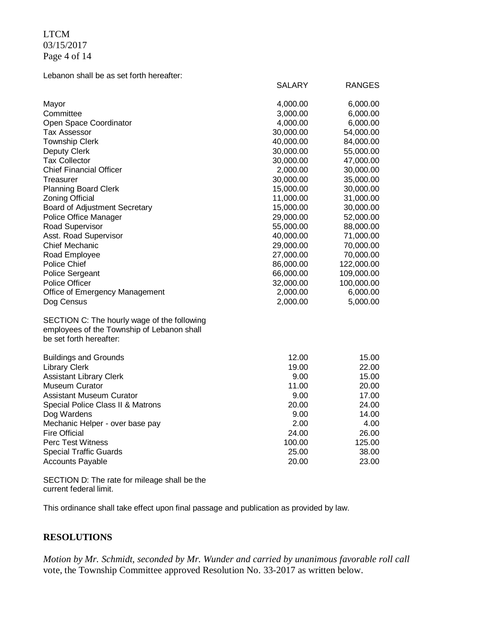LTCM 03/15/2017 Page 4 of 14

Lebanon shall be as set forth hereafter:

| Mayor                                       | 4,000.00  | 6,000.00   |
|---------------------------------------------|-----------|------------|
| Committee                                   | 3,000.00  | 6,000.00   |
| Open Space Coordinator                      | 4,000.00  | 6,000.00   |
| <b>Tax Assessor</b>                         | 30,000.00 | 54,000.00  |
| <b>Township Clerk</b>                       | 40,000.00 | 84,000.00  |
| Deputy Clerk                                | 30,000.00 | 55,000.00  |
| <b>Tax Collector</b>                        | 30,000.00 | 47,000.00  |
| <b>Chief Financial Officer</b>              | 2,000.00  | 30,000.00  |
| Treasurer                                   | 30,000.00 | 35,000.00  |
| <b>Planning Board Clerk</b>                 | 15,000.00 | 30,000.00  |
| <b>Zoning Official</b>                      | 11,000.00 | 31,000.00  |
| Board of Adjustment Secretary               | 15,000.00 | 30,000.00  |
| Police Office Manager                       | 29,000.00 | 52,000.00  |
| Road Supervisor                             | 55,000.00 | 88,000.00  |
| Asst. Road Supervisor                       | 40,000.00 | 71,000.00  |
| <b>Chief Mechanic</b>                       | 29,000.00 | 70,000.00  |
| Road Employee                               | 27,000.00 | 70,000.00  |
| <b>Police Chief</b>                         | 86,000.00 | 122,000.00 |
| <b>Police Sergeant</b>                      | 66,000.00 | 109,000.00 |
| <b>Police Officer</b>                       | 32,000.00 | 100,000.00 |
| Office of Emergency Management              | 2,000.00  | 6,000.00   |
| Dog Census                                  | 2,000.00  | 5,000.00   |
| SECTION C: The hourly wage of the following |           |            |
| employees of the Township of Lebanon shall  |           |            |
| be set forth hereafter:                     |           |            |
| <b>Buildings and Grounds</b>                | 12.00     | 15.00      |
| <b>Library Clerk</b>                        | 19.00     | 22.00      |
| <b>Assistant Library Clerk</b>              | 9.00      | 15.00      |
| <b>Museum Curator</b>                       | 11.00     | 20.00      |
| <b>Assistant Museum Curator</b>             | 9.00      | 17.00      |
| Special Police Class II & Matrons           | 20.00     | 24.00      |
| Dog Wardens                                 | 9.00      | 14.00      |
| Mechanic Helper - over base pay             | 2.00      | 4.00       |
| <b>Fire Official</b>                        | 24.00     | 26.00      |
| <b>Perc Test Witness</b>                    | 100.00    | 125.00     |
| <b>Special Traffic Guards</b>               | 25.00     | 38.00      |
| <b>Accounts Payable</b>                     | 20.00     | 23.00      |

SALARY RANGES

SECTION D: The rate for mileage shall be the current federal limit.

This ordinance shall take effect upon final passage and publication as provided by law.

# **RESOLUTIONS**

*Motion by Mr. Schmidt, seconded by Mr. Wunder and carried by unanimous favorable roll call*  vote, the Township Committee approved Resolution No. 33-2017 as written below.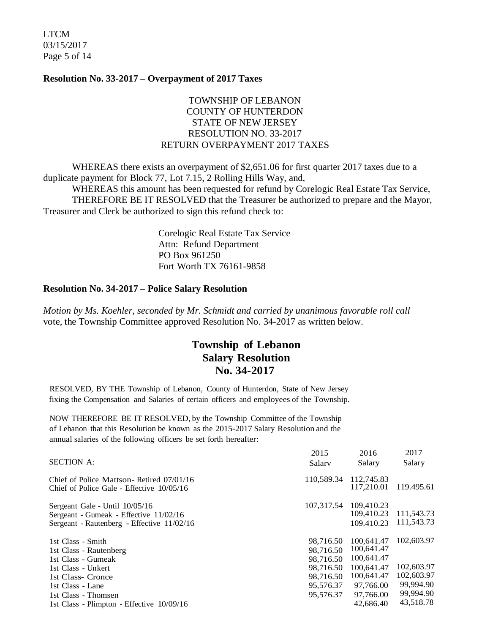LTCM 03/15/2017 Page 5 of 14

#### **Resolution No. 33-2017 – Overpayment of 2017 Taxes**

## TOWNSHIP OF LEBANON COUNTY OF HUNTERDON STATE OF NEW JERSEY RESOLUTION NO. 33-2017 RETURN OVERPAYMENT 2017 TAXES

WHEREAS there exists an overpayment of \$2,651.06 for first quarter 2017 taxes due to a duplicate payment for Block 77, Lot 7.15, 2 Rolling Hills Way, and,

WHEREAS this amount has been requested for refund by Corelogic Real Estate Tax Service, THEREFORE BE IT RESOLVED that the Treasurer be authorized to prepare and the Mayor, Treasurer and Clerk be authorized to sign this refund check to:

> Corelogic Real Estate Tax Service Attn: Refund Department PO Box 961250 Fort Worth TX 76161-9858

#### **Resolution No. 34-2017 – Police Salary Resolution**

*Motion by Ms. Koehler, seconded by Mr. Schmidt and carried by unanimous favorable roll call*  vote, the Township Committee approved Resolution No. 34-2017 as written below.

# **Township of Lebanon Salary Resolution No. 34-2017**

RESOLVED, BY THE Township of Lebanon, County of Hunterdon, State of New Jersey fixing the Compensation and Salaries of certain officers and employees of the Township.

NOW THEREFORE BE IT RESOLVED, by the Township Committee of the Township of Lebanon that this Resolution be known as the 2015-2017 Salary Resolution and the annual salaries of the following officers be set forth hereafter:

| <b>SECTION A:</b>                                                                                                      | 2015<br>Salary                      | 2016<br>Salary                         | 2017<br>Salary                        |
|------------------------------------------------------------------------------------------------------------------------|-------------------------------------|----------------------------------------|---------------------------------------|
| Chief of Police Mattson-Retired 07/01/16<br>Chief of Police Gale - Effective $10/05/16$                                | 110,589.34                          | 112,745.83<br>117,210.01               | 119.495.61                            |
| Sergeant Gale - Until 10/05/16<br>Sergeant - Gumeak - Effective 11/02/16<br>Sergeant - Rautenberg - Effective 11/02/16 | 107,317.54                          | 109,410.23<br>109.410.23<br>109.410.23 | 111,543.73<br>111,543.73              |
| 1st Class - Smith<br>1st Class - Rautenberg<br>1st Class - Gumeak                                                      | 98.716.50<br>98.716.50<br>98.716.50 | 100,641.47<br>100,641.47<br>100,641.47 | 102,603.97                            |
| 1st Class - Unkert<br>1st Class- Cronce                                                                                | 98,716.50<br>98,716.50              | 100.641.47<br>100,641.47               | 102,603.97<br>102,603.97<br>99,994.90 |
| 1st Class - Lane<br>1st Class - Thomsen<br>1st Class - Plimpton - Effective 10/09/16                                   | 95,576.37<br>95,576.37              | 97.766.00<br>97,766.00<br>42,686.40    | 99,994.90<br>43,518.78                |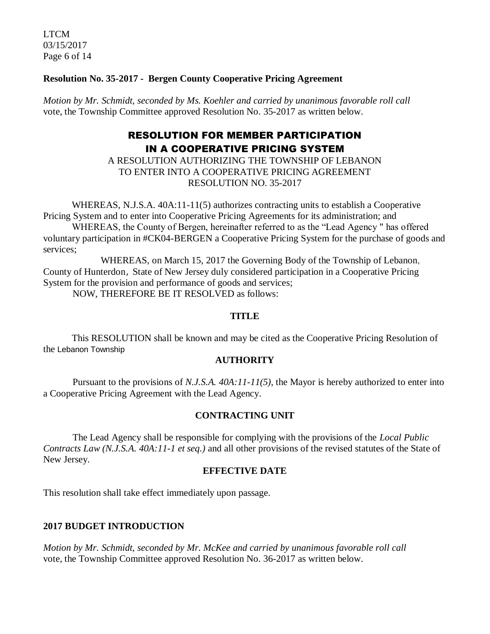LTCM 03/15/2017 Page 6 of 14

## **Resolution No. 35-2017 - Bergen County Cooperative Pricing Agreement**

*Motion by Mr. Schmidt, seconded by Ms. Koehler and carried by unanimous favorable roll call*  vote, the Township Committee approved Resolution No. 35-2017 as written below.

# RESOLUTION FOR MEMBER PARTICIPATION IN A COOPERATIVE PRICING SYSTEM

A RESOLUTION AUTHORIZING THE TOWNSHIP OF LEBANON TO ENTER INTO A COOPERATIVE PRICING AGREEMENT RESOLUTION NO. 35-2017

WHEREAS, N.J.S.A.  $40A:11-11(5)$  authorizes contracting units to establish a Cooperative Pricing System and to enter into Cooperative Pricing Agreements for its administration; and WHEREAS, the County of Bergen, hereinafter referred to as the "Lead Agency " has offered voluntary participation in #CK04-BERGEN a Cooperative Pricing System for the purchase of goods and

services;

WHEREAS, on March 15, 2017 the Governing Body of the Township of Lebanon, County of Hunterdon, State of New Jersey duly considered participation in a Cooperative Pricing System for the provision and performance of goods and services;

NOW, THEREFORE BE IT RESOLVED as follows:

#### **TITLE**

This RESOLUTION shall be known and may be cited as the Cooperative Pricing Resolution of the Lebanon Township

### **AUTHORITY**

Pursuant to the provisions of *N.J.S.A. 40A:11-11(5)*, the Mayor is hereby authorized to enter into a Cooperative Pricing Agreement with the Lead Agency.

# **CONTRACTING UNIT**

The Lead Agency shall be responsible for complying with the provisions of the *Local Public Contracts Law (N.J.S.A. 40A:11-1 et seq.)* and all other provisions of the revised statutes of the State of New Jersey.

### **EFFECTIVE DATE**

This resolution shall take effect immediately upon passage.

### **2017 BUDGET INTRODUCTION**

*Motion by Mr. Schmidt, seconded by Mr. McKee and carried by unanimous favorable roll call*  vote, the Township Committee approved Resolution No. 36-2017 as written below.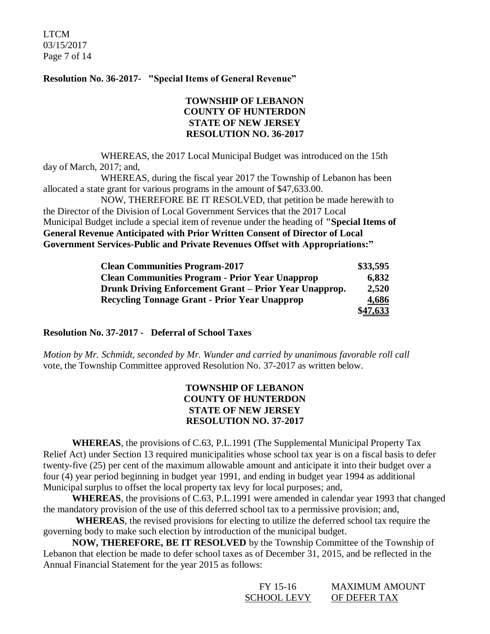LTCM 03/15/2017 Page 7 of 14

### **Resolution No. 36-2017- "Special Items of General Revenue"**

## **TOWNSHIP OF LEBANON COUNTY OF HUNTERDON STATE OF NEW JERSEY RESOLUTION NO. 36-2017**

WHEREAS, the 2017 Local Municipal Budget was introduced on the 15th day of March, 2017; and,

WHEREAS, during the fiscal year 2017 the Township of Lebanon has been allocated a state grant for various programs in the amount of \$47,633.00.

NOW, THEREFORE BE IT RESOLVED, that petition be made herewith to the Director of the Division of Local Government Services that the 2017 Local Municipal Budget include a special item of revenue under the heading of **"Special Items of General Revenue Anticipated with Prior Written Consent of Director of Local Government Services-Public and Private Revenues Offset with Appropriations:"**

| <b>Clean Communities Program-2017</b>                  | \$33,595 |
|--------------------------------------------------------|----------|
| <b>Clean Communities Program - Prior Year Unapprop</b> | 6,832    |
| Drunk Driving Enforcement Grant – Prior Year Unapprop. | 2,520    |
| <b>Recycling Tonnage Grant - Prior Year Unapprop</b>   | 4,686    |
|                                                        | \$47,633 |

#### **Resolution No. 37-2017 - Deferral of School Taxes**

*Motion by Mr. Schmidt, seconded by Mr. Wunder and carried by unanimous favorable roll call*  vote, the Township Committee approved Resolution No. 37-2017 as written below.

## **TOWNSHIP OF LEBANON COUNTY OF HUNTERDON STATE OF NEW JERSEY RESOLUTION NO. 37-2017**

**WHEREAS**, the provisions of C.63, P.L.1991 (The Supplemental Municipal Property Tax Relief Act) under Section 13 required municipalities whose school tax year is on a fiscal basis to defer twenty-five (25) per cent of the maximum allowable amount and anticipate it into their budget over a four (4) year period beginning in budget year 1991, and ending in budget year 1994 as additional Municipal surplus to offset the local property tax levy for local purposes; and,

**WHEREAS**, the provisions of C.63, P.L.1991 were amended in calendar year 1993 that changed the mandatory provision of the use of this deferred school tax to a permissive provision; and,

**WHEREAS**, the revised provisions for electing to utilize the deferred school tax require the governing body to make such election by introduction of the municipal budget.

**NOW, THEREFORE, BE IT RESOLVED** by the Township Committee of the Township of Lebanon that election be made to defer school taxes as of December 31, 2015, and be reflected in the Annual Financial Statement for the year 2015 as follows:

| FY 15-16    | <b>MAXIMUM AMOUNT</b> |
|-------------|-----------------------|
| SCHOOL LEVY | OF DEFER TAX          |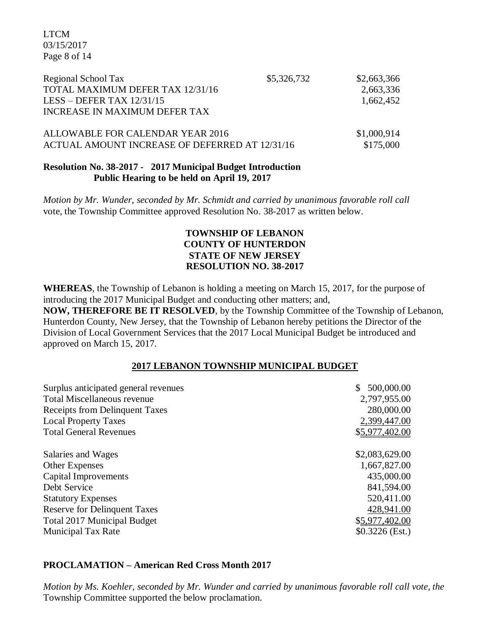LTCM 03/15/2017 Page 8 of 14

| Regional School Tax<br>TOTAL MAXIMUM DEFER TAX 12/31/16<br>LESS – DEFER TAX $12/31/15$<br>INCREASE IN MAXIMUM DEFER TAX | \$5,326,732 | \$2,663,366<br>2,663,336<br>1,662,452 |
|-------------------------------------------------------------------------------------------------------------------------|-------------|---------------------------------------|
| ALLOWABLE FOR CALENDAR YEAR 2016<br>ACTUAL AMOUNT INCREASE OF DEFERRED AT 12/31/16                                      |             | \$1,000,914<br>\$175,000              |

## **Resolution No. 38-2017 - 2017 Municipal Budget Introduction Public Hearing to be held on April 19, 2017**

*Motion by Mr. Wunder, seconded by Mr. Schmidt and carried by unanimous favorable roll call*  vote, the Township Committee approved Resolution No. 38-2017 as written below.

## **TOWNSHIP OF LEBANON COUNTY OF HUNTERDON STATE OF NEW JERSEY RESOLUTION NO. 38-2017**

**WHEREAS**, the Township of Lebanon is holding a meeting on March 15, 2017, for the purpose of introducing the 2017 Municipal Budget and conducting other matters; and, **NOW, THEREFORE BE IT RESOLVED**, by the Township Committee of the Township of Lebanon, Hunterdon County, New Jersey, that the Township of Lebanon hereby petitions the Director of the Division of Local Government Services that the 2017 Local Municipal Budget be introduced and approved on March 15, 2017.

### **2017 LEBANON TOWNSHIP MUNICIPAL BUDGET**

| Surplus anticipated general revenues  | 500,000.00       |
|---------------------------------------|------------------|
| Total Miscellaneous revenue           | 2,797,955.00     |
| <b>Receipts from Delinquent Taxes</b> | 280,000.00       |
| <b>Local Property Taxes</b>           | 2,399,447.00     |
| <b>Total General Revenues</b>         | \$5,977,402.00   |
| Salaries and Wages                    | \$2,083,629.00   |
| <b>Other Expenses</b>                 | 1,667,827.00     |
| Capital Improvements                  | 435,000.00       |
| Debt Service                          | 841,594.00       |
| <b>Statutory Expenses</b>             | 520,411.00       |
| <b>Reserve for Delinquent Taxes</b>   | 428,941.00       |
| <b>Total 2017 Municipal Budget</b>    | \$5,977,402.00   |
| <b>Municipal Tax Rate</b>             | $$0.3226$ (Est.) |

### **PROCLAMATION – American Red Cross Month 2017**

*Motion by Ms. Koehler, seconded by Mr. Wunder and carried by unanimous favorable roll call vote, the* Township Committee supported the below proclamation.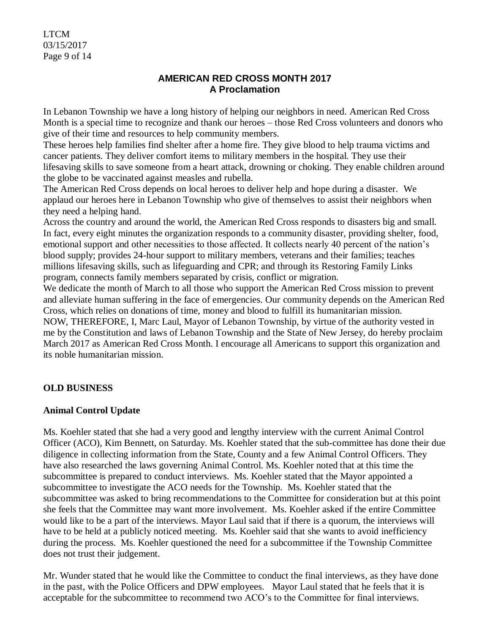LTCM 03/15/2017 Page 9 of 14

## **AMERICAN RED CROSS MONTH 2017 A Proclamation**

In Lebanon Township we have a long history of helping our neighbors in need. American Red Cross Month is a special time to recognize and thank our heroes – those Red Cross volunteers and donors who give of their time and resources to help community members.

These heroes help families find shelter after a home fire. They give blood to help trauma victims and cancer patients. They deliver comfort items to military members in the hospital. They use their lifesaving skills to save someone from a heart attack, drowning or choking. They enable children around the globe to be vaccinated against measles and rubella.

The American Red Cross depends on local heroes to deliver help and hope during a disaster. We applaud our heroes here in Lebanon Township who give of themselves to assist their neighbors when they need a helping hand.

Across the country and around the world, the American Red Cross responds to disasters big and small. In fact, every eight minutes the organization responds to a community disaster, providing shelter, food, emotional support and other necessities to those affected. It collects nearly 40 percent of the nation's blood supply; provides 24-hour support to military members, veterans and their families; teaches millions lifesaving skills, such as lifeguarding and CPR; and through its Restoring Family Links program, connects family members separated by crisis, conflict or migration.

We dedicate the month of March to all those who support the American Red Cross mission to prevent and alleviate human suffering in the face of emergencies. Our community depends on the American Red Cross, which relies on donations of time, money and blood to fulfill its humanitarian mission.

NOW, THEREFORE, I, Marc Laul, Mayor of Lebanon Township, by virtue of the authority vested in me by the Constitution and laws of Lebanon Township and the State of New Jersey, do hereby proclaim March 2017 as American Red Cross Month. I encourage all Americans to support this organization and its noble humanitarian mission.

# **OLD BUSINESS**

# **Animal Control Update**

Ms. Koehler stated that she had a very good and lengthy interview with the current Animal Control Officer (ACO), Kim Bennett, on Saturday. Ms. Koehler stated that the sub-committee has done their due diligence in collecting information from the State, County and a few Animal Control Officers. They have also researched the laws governing Animal Control. Ms. Koehler noted that at this time the subcommittee is prepared to conduct interviews. Ms. Koehler stated that the Mayor appointed a subcommittee to investigate the ACO needs for the Township. Ms. Koehler stated that the subcommittee was asked to bring recommendations to the Committee for consideration but at this point she feels that the Committee may want more involvement. Ms. Koehler asked if the entire Committee would like to be a part of the interviews. Mayor Laul said that if there is a quorum, the interviews will have to be held at a publicly noticed meeting. Ms. Koehler said that she wants to avoid inefficiency during the process. Ms. Koehler questioned the need for a subcommittee if the Township Committee does not trust their judgement.

Mr. Wunder stated that he would like the Committee to conduct the final interviews, as they have done in the past, with the Police Officers and DPW employees. Mayor Laul stated that he feels that it is acceptable for the subcommittee to recommend two ACO's to the Committee for final interviews.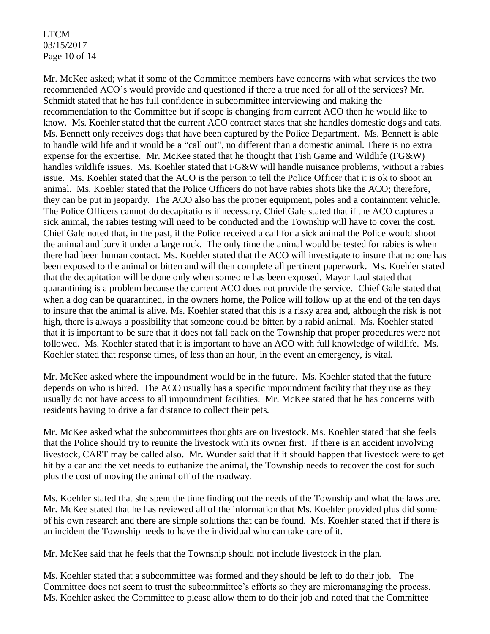## LTCM 03/15/2017 Page 10 of 14

Mr. McKee asked; what if some of the Committee members have concerns with what services the two recommended ACO's would provide and questioned if there a true need for all of the services? Mr. Schmidt stated that he has full confidence in subcommittee interviewing and making the recommendation to the Committee but if scope is changing from current ACO then he would like to know. Ms. Koehler stated that the current ACO contract states that she handles domestic dogs and cats. Ms. Bennett only receives dogs that have been captured by the Police Department. Ms. Bennett is able to handle wild life and it would be a "call out", no different than a domestic animal. There is no extra expense for the expertise. Mr. McKee stated that he thought that Fish Game and Wildlife (FG&W) handles wildlife issues. Ms. Koehler stated that FG&W will handle nuisance problems, without a rabies issue. Ms. Koehler stated that the ACO is the person to tell the Police Officer that it is ok to shoot an animal. Ms. Koehler stated that the Police Officers do not have rabies shots like the ACO; therefore, they can be put in jeopardy. The ACO also has the proper equipment, poles and a containment vehicle. The Police Officers cannot do decapitations if necessary. Chief Gale stated that if the ACO captures a sick animal, the rabies testing will need to be conducted and the Township will have to cover the cost. Chief Gale noted that, in the past, if the Police received a call for a sick animal the Police would shoot the animal and bury it under a large rock. The only time the animal would be tested for rabies is when there had been human contact. Ms. Koehler stated that the ACO will investigate to insure that no one has been exposed to the animal or bitten and will then complete all pertinent paperwork. Ms. Koehler stated that the decapitation will be done only when someone has been exposed. Mayor Laul stated that quarantining is a problem because the current ACO does not provide the service. Chief Gale stated that when a dog can be quarantined, in the owners home, the Police will follow up at the end of the ten days to insure that the animal is alive. Ms. Koehler stated that this is a risky area and, although the risk is not high, there is always a possibility that someone could be bitten by a rabid animal. Ms. Koehler stated that it is important to be sure that it does not fall back on the Township that proper procedures were not followed. Ms. Koehler stated that it is important to have an ACO with full knowledge of wildlife. Ms. Koehler stated that response times, of less than an hour, in the event an emergency, is vital.

Mr. McKee asked where the impoundment would be in the future. Ms. Koehler stated that the future depends on who is hired. The ACO usually has a specific impoundment facility that they use as they usually do not have access to all impoundment facilities. Mr. McKee stated that he has concerns with residents having to drive a far distance to collect their pets.

Mr. McKee asked what the subcommittees thoughts are on livestock. Ms. Koehler stated that she feels that the Police should try to reunite the livestock with its owner first. If there is an accident involving livestock, CART may be called also. Mr. Wunder said that if it should happen that livestock were to get hit by a car and the vet needs to euthanize the animal, the Township needs to recover the cost for such plus the cost of moving the animal off of the roadway.

Ms. Koehler stated that she spent the time finding out the needs of the Township and what the laws are. Mr. McKee stated that he has reviewed all of the information that Ms. Koehler provided plus did some of his own research and there are simple solutions that can be found. Ms. Koehler stated that if there is an incident the Township needs to have the individual who can take care of it.

Mr. McKee said that he feels that the Township should not include livestock in the plan.

Ms. Koehler stated that a subcommittee was formed and they should be left to do their job. The Committee does not seem to trust the subcommittee's efforts so they are micromanaging the process. Ms. Koehler asked the Committee to please allow them to do their job and noted that the Committee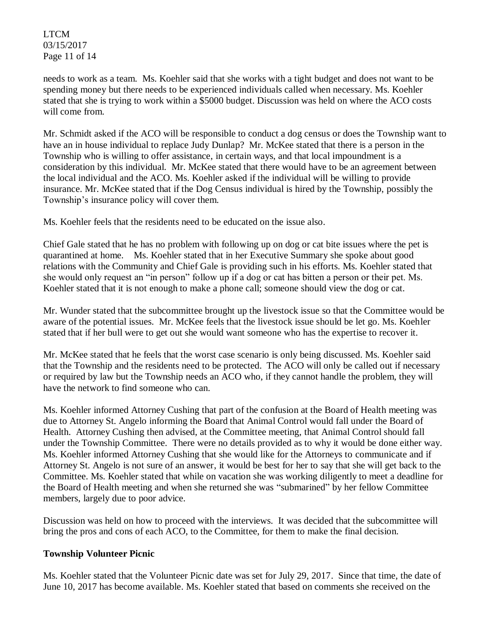LTCM 03/15/2017 Page 11 of 14

needs to work as a team. Ms. Koehler said that she works with a tight budget and does not want to be spending money but there needs to be experienced individuals called when necessary. Ms. Koehler stated that she is trying to work within a \$5000 budget. Discussion was held on where the ACO costs will come from.

Mr. Schmidt asked if the ACO will be responsible to conduct a dog census or does the Township want to have an in house individual to replace Judy Dunlap? Mr. McKee stated that there is a person in the Township who is willing to offer assistance, in certain ways, and that local impoundment is a consideration by this individual. Mr. McKee stated that there would have to be an agreement between the local individual and the ACO. Ms. Koehler asked if the individual will be willing to provide insurance. Mr. McKee stated that if the Dog Census individual is hired by the Township, possibly the Township's insurance policy will cover them.

Ms. Koehler feels that the residents need to be educated on the issue also.

Chief Gale stated that he has no problem with following up on dog or cat bite issues where the pet is quarantined at home. Ms. Koehler stated that in her Executive Summary she spoke about good relations with the Community and Chief Gale is providing such in his efforts. Ms. Koehler stated that she would only request an "in person" follow up if a dog or cat has bitten a person or their pet. Ms. Koehler stated that it is not enough to make a phone call; someone should view the dog or cat.

Mr. Wunder stated that the subcommittee brought up the livestock issue so that the Committee would be aware of the potential issues. Mr. McKee feels that the livestock issue should be let go. Ms. Koehler stated that if her bull were to get out she would want someone who has the expertise to recover it.

Mr. McKee stated that he feels that the worst case scenario is only being discussed. Ms. Koehler said that the Township and the residents need to be protected. The ACO will only be called out if necessary or required by law but the Township needs an ACO who, if they cannot handle the problem, they will have the network to find someone who can.

Ms. Koehler informed Attorney Cushing that part of the confusion at the Board of Health meeting was due to Attorney St. Angelo informing the Board that Animal Control would fall under the Board of Health. Attorney Cushing then advised, at the Committee meeting, that Animal Control should fall under the Township Committee. There were no details provided as to why it would be done either way. Ms. Koehler informed Attorney Cushing that she would like for the Attorneys to communicate and if Attorney St. Angelo is not sure of an answer, it would be best for her to say that she will get back to the Committee. Ms. Koehler stated that while on vacation she was working diligently to meet a deadline for the Board of Health meeting and when she returned she was "submarined" by her fellow Committee members, largely due to poor advice.

Discussion was held on how to proceed with the interviews. It was decided that the subcommittee will bring the pros and cons of each ACO, to the Committee, for them to make the final decision.

# **Township Volunteer Picnic**

Ms. Koehler stated that the Volunteer Picnic date was set for July 29, 2017. Since that time, the date of June 10, 2017 has become available. Ms. Koehler stated that based on comments she received on the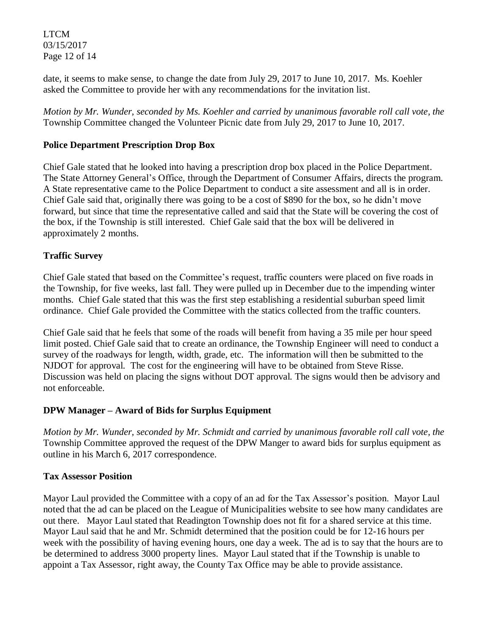LTCM 03/15/2017 Page 12 of 14

date, it seems to make sense, to change the date from July 29, 2017 to June 10, 2017. Ms. Koehler asked the Committee to provide her with any recommendations for the invitation list.

*Motion by Mr. Wunder, seconded by Ms. Koehler and carried by unanimous favorable roll call vote, the* Township Committee changed the Volunteer Picnic date from July 29, 2017 to June 10, 2017.

# **Police Department Prescription Drop Box**

Chief Gale stated that he looked into having a prescription drop box placed in the Police Department. The State Attorney General's Office, through the Department of Consumer Affairs, directs the program. A State representative came to the Police Department to conduct a site assessment and all is in order. Chief Gale said that, originally there was going to be a cost of \$890 for the box, so he didn't move forward, but since that time the representative called and said that the State will be covering the cost of the box, if the Township is still interested. Chief Gale said that the box will be delivered in approximately 2 months.

# **Traffic Survey**

Chief Gale stated that based on the Committee's request, traffic counters were placed on five roads in the Township, for five weeks, last fall. They were pulled up in December due to the impending winter months. Chief Gale stated that this was the first step establishing a residential suburban speed limit ordinance. Chief Gale provided the Committee with the statics collected from the traffic counters.

Chief Gale said that he feels that some of the roads will benefit from having a 35 mile per hour speed limit posted. Chief Gale said that to create an ordinance, the Township Engineer will need to conduct a survey of the roadways for length, width, grade, etc. The information will then be submitted to the NJDOT for approval. The cost for the engineering will have to be obtained from Steve Risse. Discussion was held on placing the signs without DOT approval. The signs would then be advisory and not enforceable.

# **DPW Manager – Award of Bids for Surplus Equipment**

*Motion by Mr. Wunder, seconded by Mr. Schmidt and carried by unanimous favorable roll call vote, the* Township Committee approved the request of the DPW Manger to award bids for surplus equipment as outline in his March 6, 2017 correspondence.

### **Tax Assessor Position**

Mayor Laul provided the Committee with a copy of an ad for the Tax Assessor's position. Mayor Laul noted that the ad can be placed on the League of Municipalities website to see how many candidates are out there. Mayor Laul stated that Readington Township does not fit for a shared service at this time. Mayor Laul said that he and Mr. Schmidt determined that the position could be for 12-16 hours per week with the possibility of having evening hours, one day a week. The ad is to say that the hours are to be determined to address 3000 property lines. Mayor Laul stated that if the Township is unable to appoint a Tax Assessor, right away, the County Tax Office may be able to provide assistance.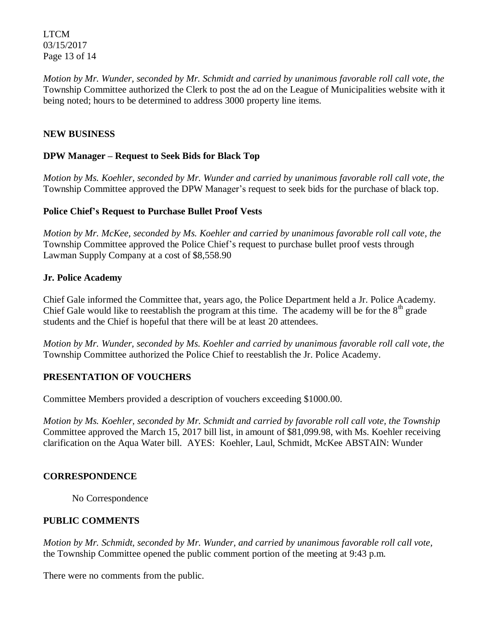LTCM 03/15/2017 Page 13 of 14

*Motion by Mr. Wunder, seconded by Mr. Schmidt and carried by unanimous favorable roll call vote, the* Township Committee authorized the Clerk to post the ad on the League of Municipalities website with it being noted; hours to be determined to address 3000 property line items.

## **NEW BUSINESS**

## **DPW Manager – Request to Seek Bids for Black Top**

*Motion by Ms. Koehler, seconded by Mr. Wunder and carried by unanimous favorable roll call vote, the* Township Committee approved the DPW Manager's request to seek bids for the purchase of black top.

## **Police Chief's Request to Purchase Bullet Proof Vests**

*Motion by Mr. McKee, seconded by Ms. Koehler and carried by unanimous favorable roll call vote, the* Township Committee approved the Police Chief's request to purchase bullet proof vests through Lawman Supply Company at a cost of \$8,558.90

## **Jr. Police Academy**

Chief Gale informed the Committee that, years ago, the Police Department held a Jr. Police Academy. Chief Gale would like to reestablish the program at this time. The academy will be for the  $8<sup>th</sup>$  grade students and the Chief is hopeful that there will be at least 20 attendees.

*Motion by Mr. Wunder, seconded by Ms. Koehler and carried by unanimous favorable roll call vote, the* Township Committee authorized the Police Chief to reestablish the Jr. Police Academy.

# **PRESENTATION OF VOUCHERS**

Committee Members provided a description of vouchers exceeding \$1000.00.

*Motion by Ms. Koehler, seconded by Mr. Schmidt and carried by favorable roll call vote, the Township* Committee approved the March 15, 2017 bill list, in amount of \$81,099.98, with Ms. Koehler receiving clarification on the Aqua Water bill. AYES: Koehler, Laul, Schmidt, McKee ABSTAIN: Wunder

### **CORRESPONDENCE**

No Correspondence

# **PUBLIC COMMENTS**

*Motion by Mr. Schmidt, seconded by Mr. Wunder, and carried by unanimous favorable roll call vote,* the Township Committee opened the public comment portion of the meeting at 9:43 p.m.

There were no comments from the public.